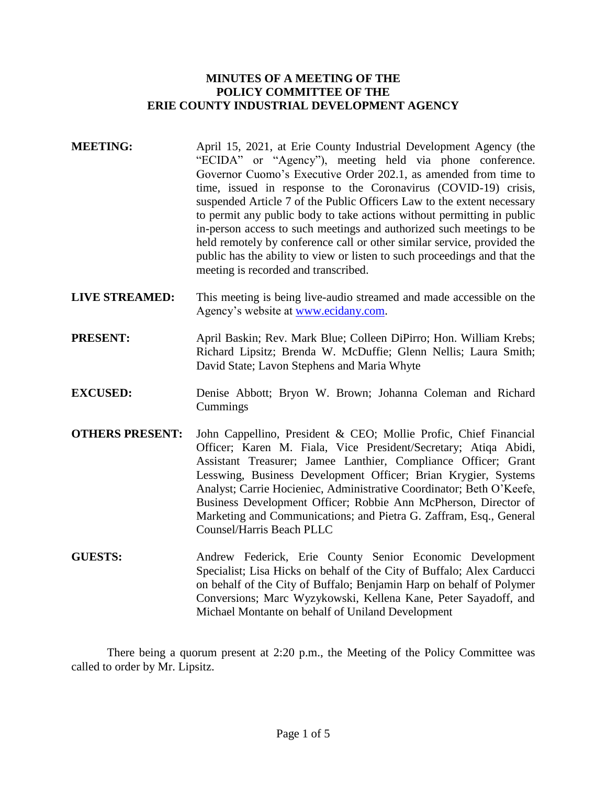## **MINUTES OF A MEETING OF THE POLICY COMMITTEE OF THE ERIE COUNTY INDUSTRIAL DEVELOPMENT AGENCY**

- **MEETING:** April 15, 2021, at Erie County Industrial Development Agency (the "ECIDA" or "Agency"), meeting held via phone conference. Governor Cuomo's Executive Order 202.1, as amended from time to time, issued in response to the Coronavirus (COVID-19) crisis, suspended Article 7 of the Public Officers Law to the extent necessary to permit any public body to take actions without permitting in public in-person access to such meetings and authorized such meetings to be held remotely by conference call or other similar service, provided the public has the ability to view or listen to such proceedings and that the meeting is recorded and transcribed.
- **LIVE STREAMED:** This meeting is being live-audio streamed and made accessible on the Agency's website at [www.ecidany.com.](http://www.ecidany.com/)
- **PRESENT:** April Baskin; Rev. Mark Blue; Colleen DiPirro; Hon. William Krebs; Richard Lipsitz; Brenda W. McDuffie; Glenn Nellis; Laura Smith; David State; Lavon Stephens and Maria Whyte
- **EXCUSED:** Denise Abbott; Bryon W. Brown; Johanna Coleman and Richard Cummings
- **OTHERS PRESENT:** John Cappellino, President & CEO; Mollie Profic, Chief Financial Officer; Karen M. Fiala, Vice President/Secretary; Atiqa Abidi, Assistant Treasurer; Jamee Lanthier, Compliance Officer; Grant Lesswing, Business Development Officer; Brian Krygier, Systems Analyst; Carrie Hocieniec, Administrative Coordinator; Beth O'Keefe, Business Development Officer; Robbie Ann McPherson, Director of Marketing and Communications; and Pietra G. Zaffram, Esq., General Counsel/Harris Beach PLLC
- **GUESTS:** Andrew Federick, Erie County Senior Economic Development Specialist; Lisa Hicks on behalf of the City of Buffalo; Alex Carducci on behalf of the City of Buffalo; Benjamin Harp on behalf of Polymer Conversions; Marc Wyzykowski, Kellena Kane, Peter Sayadoff, and Michael Montante on behalf of Uniland Development

There being a quorum present at 2:20 p.m., the Meeting of the Policy Committee was called to order by Mr. Lipsitz.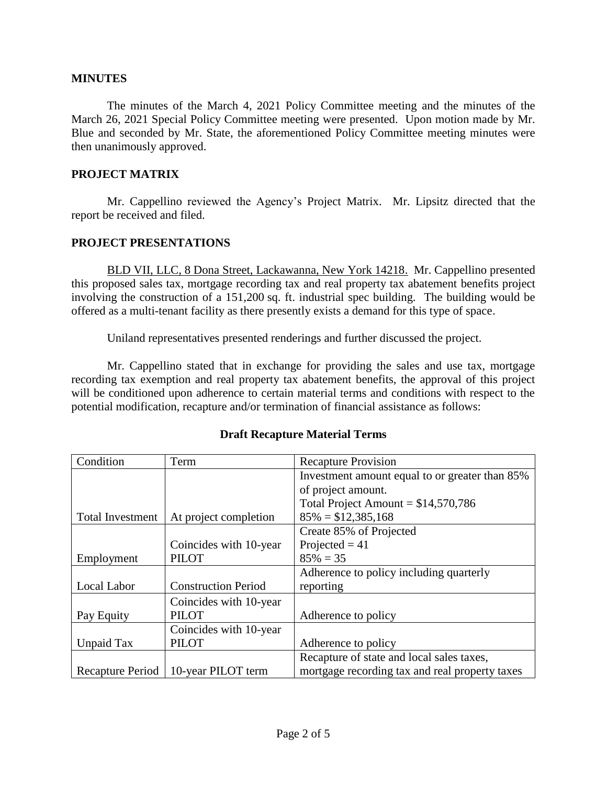### **MINUTES**

The minutes of the March 4, 2021 Policy Committee meeting and the minutes of the March 26, 2021 Special Policy Committee meeting were presented. Upon motion made by Mr. Blue and seconded by Mr. State, the aforementioned Policy Committee meeting minutes were then unanimously approved.

### **PROJECT MATRIX**

Mr. Cappellino reviewed the Agency's Project Matrix. Mr. Lipsitz directed that the report be received and filed.

### **PROJECT PRESENTATIONS**

BLD VII, LLC, 8 Dona Street, Lackawanna, New York 14218. Mr. Cappellino presented this proposed sales tax, mortgage recording tax and real property tax abatement benefits project involving the construction of a 151,200 sq. ft. industrial spec building. The building would be offered as a multi-tenant facility as there presently exists a demand for this type of space.

Uniland representatives presented renderings and further discussed the project.

Mr. Cappellino stated that in exchange for providing the sales and use tax, mortgage recording tax exemption and real property tax abatement benefits, the approval of this project will be conditioned upon adherence to certain material terms and conditions with respect to the potential modification, recapture and/or termination of financial assistance as follows:

| Condition               | Term                       | <b>Recapture Provision</b>                     |
|-------------------------|----------------------------|------------------------------------------------|
|                         |                            | Investment amount equal to or greater than 85% |
|                         |                            | of project amount.                             |
|                         |                            | Total Project Amount = $$14,570,786$           |
| <b>Total Investment</b> | At project completion      | $85\% = $12,385,168$                           |
|                         |                            | Create 85% of Projected                        |
|                         | Coincides with 10-year     | Projected $= 41$                               |
| Employment              | <b>PILOT</b>               | $85\% = 35$                                    |
|                         |                            | Adherence to policy including quarterly        |
| Local Labor             | <b>Construction Period</b> | reporting                                      |
|                         | Coincides with 10-year     |                                                |
| Pay Equity              | <b>PILOT</b>               | Adherence to policy                            |
|                         | Coincides with 10-year     |                                                |
| Unpaid Tax              | <b>PILOT</b>               | Adherence to policy                            |
|                         |                            | Recapture of state and local sales taxes,      |
| Recapture Period        | 10-year PILOT term         | mortgage recording tax and real property taxes |

## **Draft Recapture Material Terms**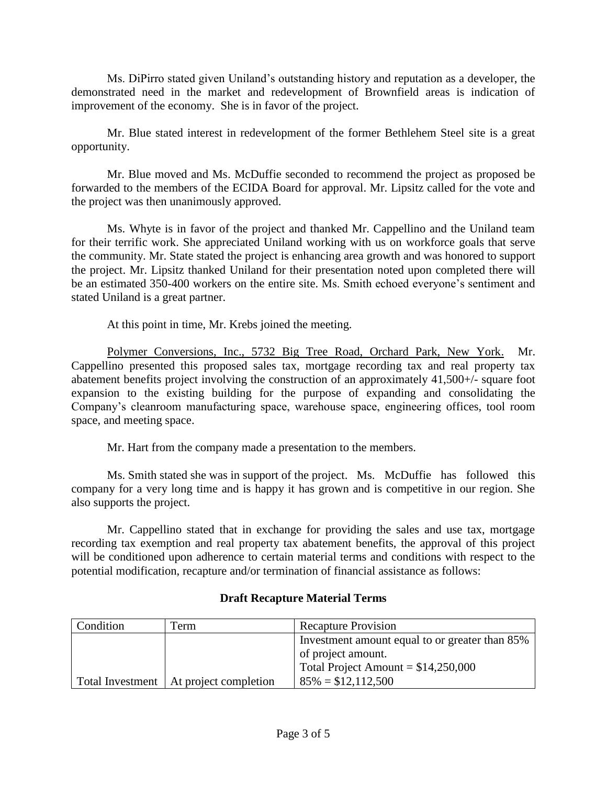Ms. DiPirro stated given Uniland's outstanding history and reputation as a developer, the demonstrated need in the market and redevelopment of Brownfield areas is indication of improvement of the economy. She is in favor of the project.

Mr. Blue stated interest in redevelopment of the former Bethlehem Steel site is a great opportunity.

Mr. Blue moved and Ms. McDuffie seconded to recommend the project as proposed be forwarded to the members of the ECIDA Board for approval. Mr. Lipsitz called for the vote and the project was then unanimously approved.

Ms. Whyte is in favor of the project and thanked Mr. Cappellino and the Uniland team for their terrific work. She appreciated Uniland working with us on workforce goals that serve the community. Mr. State stated the project is enhancing area growth and was honored to support the project. Mr. Lipsitz thanked Uniland for their presentation noted upon completed there will be an estimated 350-400 workers on the entire site. Ms. Smith echoed everyone's sentiment and stated Uniland is a great partner.

At this point in time, Mr. Krebs joined the meeting.

Polymer Conversions, Inc., 5732 Big Tree Road, Orchard Park, New York. Mr. Cappellino presented this proposed sales tax, mortgage recording tax and real property tax abatement benefits project involving the construction of an approximately 41,500+/- square foot expansion to the existing building for the purpose of expanding and consolidating the Company's cleanroom manufacturing space, warehouse space, engineering offices, tool room space, and meeting space.

Mr. Hart from the company made a presentation to the members.

Ms. Smith stated she was in support of the project. Ms. McDuffie has followed this company for a very long time and is happy it has grown and is competitive in our region. She also supports the project.

Mr. Cappellino stated that in exchange for providing the sales and use tax, mortgage recording tax exemption and real property tax abatement benefits, the approval of this project will be conditioned upon adherence to certain material terms and conditions with respect to the potential modification, recapture and/or termination of financial assistance as follows:

| <b>Condition</b> | Term                                     | <b>Recapture Provision</b>                     |
|------------------|------------------------------------------|------------------------------------------------|
|                  |                                          | Investment amount equal to or greater than 85% |
|                  |                                          | of project amount.                             |
|                  |                                          | Total Project Amount = $$14,250,000$           |
|                  | Total Investment   At project completion | $85\% = $12,112,500$                           |

# **Draft Recapture Material Terms**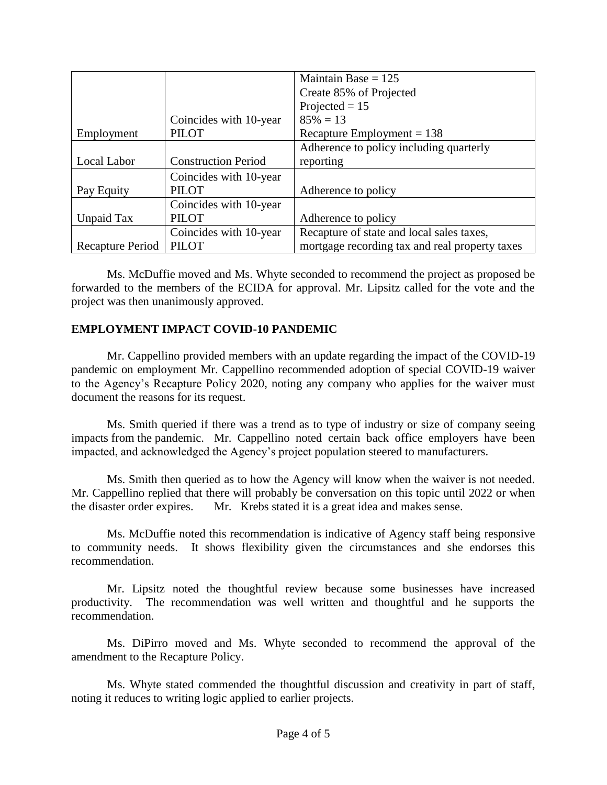|                  |                            | Maintain Base = $125$                          |
|------------------|----------------------------|------------------------------------------------|
|                  |                            | Create 85% of Projected                        |
|                  |                            | Projected $= 15$                               |
|                  | Coincides with 10-year     | $85\% = 13$                                    |
| Employment       | <b>PILOT</b>               | Recapture Employment = $138$                   |
|                  |                            | Adherence to policy including quarterly        |
| Local Labor      | <b>Construction Period</b> | reporting                                      |
|                  | Coincides with 10-year     |                                                |
| Pay Equity       | <b>PILOT</b>               | Adherence to policy                            |
|                  | Coincides with 10-year     |                                                |
| Unpaid Tax       | <b>PILOT</b>               | Adherence to policy                            |
|                  | Coincides with 10-year     | Recapture of state and local sales taxes,      |
| Recapture Period | <b>PILOT</b>               | mortgage recording tax and real property taxes |

Ms. McDuffie moved and Ms. Whyte seconded to recommend the project as proposed be forwarded to the members of the ECIDA for approval. Mr. Lipsitz called for the vote and the project was then unanimously approved.

## **EMPLOYMENT IMPACT COVID-10 PANDEMIC**

Mr. Cappellino provided members with an update regarding the impact of the COVID-19 pandemic on employment Mr. Cappellino recommended adoption of special COVID-19 waiver to the Agency's Recapture Policy 2020, noting any company who applies for the waiver must document the reasons for its request.

Ms. Smith queried if there was a trend as to type of industry or size of company seeing impacts from the pandemic. Mr. Cappellino noted certain back office employers have been impacted, and acknowledged the Agency's project population steered to manufacturers.

Ms. Smith then queried as to how the Agency will know when the waiver is not needed. Mr. Cappellino replied that there will probably be conversation on this topic until 2022 or when the disaster order expires. Mr. Krebs stated it is a great idea and makes sense.

Ms. McDuffie noted this recommendation is indicative of Agency staff being responsive to community needs. It shows flexibility given the circumstances and she endorses this recommendation.

Mr. Lipsitz noted the thoughtful review because some businesses have increased productivity. The recommendation was well written and thoughtful and he supports the recommendation.

Ms. DiPirro moved and Ms. Whyte seconded to recommend the approval of the amendment to the Recapture Policy.

Ms. Whyte stated commended the thoughtful discussion and creativity in part of staff, noting it reduces to writing logic applied to earlier projects.